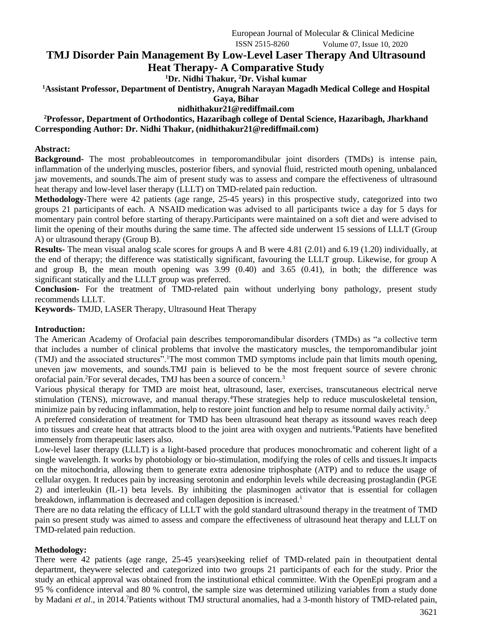European Journal of Molecular & Clinical Medicine ISSN 2515-8260 Volume 07, Issue 10, 2020

# **TMJ Disorder Pain Management By Low-Level Laser Therapy And Ultrasound Heat Therapy- A Comparative Study**

**<sup>1</sup>Dr. Nidhi Thakur, <sup>2</sup>Dr. Vishal kumar**

**<sup>1</sup>Assistant Professor, Department of Dentistry, Anugrah Narayan Magadh Medical College and Hospital**

**Gaya, Bihar**

### **nidhithakur21@rediffmail.com**

**<sup>2</sup>Professor, Department of Orthodontics, Hazaribagh college of Dental Science, Hazaribagh, Jharkhand Corresponding Author: Dr. Nidhi Thakur, (nidhithakur21@rediffmail.com)**

### **Abstract:**

**Background-** The most probableoutcomes in temporomandibular joint disorders (TMDs) is intense pain, inflammation of the underlying muscles, posterior fibers, and synovial fluid, restricted mouth opening, unbalanced jaw movements, and sounds.The aim of present study was to assess and compare the effectiveness of ultrasound heat therapy and low-level laser therapy (LLLT) on TMD-related pain reduction.

**Methodology-**There were 42 patients (age range, 25-45 years) in this prospective study, categorized into two groups 21 participants of each. A NSAID medication was advised to all participants twice a day for 5 days for momentary pain control before starting of therapy.Participants were maintained on a soft diet and were advised to limit the opening of their mouths during the same time. The affected side underwent 15 sessions of LLLT (Group A) or ultrasound therapy (Group B).

**Results-** The mean visual analog scale scores for groups A and B were 4.81 (2.01) and 6.19 (1.20) individually, at the end of therapy; the difference was statistically significant, favouring the LLLT group. Likewise, for group A and group B, the mean mouth opening was 3.99 (0.40) and 3.65 (0.41), in both; the difference was significant statically and the LLLT group was preferred.

**Conclusion-** For the treatment of TMD-related pain without underlying bony pathology, present study recommends LLLT.

**Keywords-** TMJD, LASER Therapy, Ultrasound Heat Therapy

### **Introduction:**

The American Academy of Orofacial pain describes temporomandibular disorders (TMDs) as "a collective term that includes a number of clinical problems that involve the masticatory muscles, the temporomandibular joint (TMJ) and the associated structures<sup>5</sup>.<sup>1</sup>The most common TMD symptoms include pain that limits mouth opening, uneven jaw movements, and sounds.TMJ pain is believed to be the most frequent source of severe chronic orofacial pain.<sup>2</sup>For several decades, TMJ has been a source of concern.<sup>3</sup>

Various physical therapy for TMD are moist heat, ultrasound, laser, exercises, transcutaneous electrical nerve stimulation (TENS), microwave, and manual therapy.<sup>4</sup>These strategies help to reduce musculoskeletal tension, minimize pain by reducing inflammation, help to restore joint function and help to resume normal daily activity.<sup>5</sup>

A preferred consideration of treatment for TMD has been ultrasound heat therapy as itssound waves reach deep into tissues and create heat that attracts blood to the joint area with oxygen and nutrients.<sup>6</sup>Patients have benefited immensely from therapeutic lasers also.

Low-level laser therapy (LLLT) is a light-based procedure that produces monochromatic and coherent light of a single wavelength. It works by photobiology or bio-stimulation, modifying the roles of cells and tissues.It impacts on the mitochondria, allowing them to generate extra adenosine triphosphate (ATP) and to reduce the usage of cellular oxygen. It reduces pain by increasing serotonin and endorphin levels while decreasing prostaglandin (PGE 2) and interleukin (IL-1) beta levels. By inhibiting the plasminogen activator that is essential for collagen breakdown, inflammation is decreased and collagen deposition is increased.<sup>1</sup>

There are no data relating the efficacy of LLLT with the gold standard ultrasound therapy in the treatment of TMD pain so present study was aimed to assess and compare the effectiveness of ultrasound heat therapy and LLLT on TMD-related pain reduction.

### **Methodology:**

There were 42 patients (age range, 25-45 years)seeking relief of TMD-related pain in theoutpatient dental department, theywere selected and categorized into two groups 21 participants of each for the study. Prior the study an ethical approval was obtained from the institutional ethical committee. With the OpenEpi program and a 95 % confidence interval and 80 % control, the sample size was determined utilizing variables from a study done by Madani *et al.*, in 2014.<sup>7</sup>Patients without TMJ structural anomalies, had a 3-month history of TMD-related pain,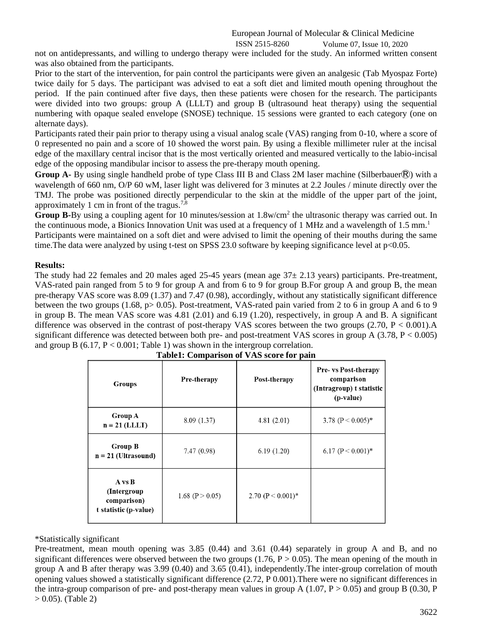### European Journal of Molecular & Clinical Medicine ISSN 2515-8260 Volume 07, Issue 10, 2020

not on antidepressants, and willing to undergo therapy were included for the study. An informed written consent was also obtained from the participants.

Prior to the start of the intervention, for pain control the participants were given an analgesic (Tab Myospaz Forte) twice daily for 5 days. The participant was advised to eat a soft diet and limited mouth opening throughout the period. If the pain continued after five days, then these patients were chosen for the research. The participants were divided into two groups: group A (LLLT) and group B (ultrasound heat therapy) using the sequential numbering with opaque sealed envelope (SNOSE) technique. 15 sessions were granted to each category (one on alternate days).

Participants rated their pain prior to therapy using a visual analog scale (VAS) ranging from 0-10, where a score of 0 represented no pain and a score of 10 showed the worst pain. By using a flexible millimeter ruler at the incisal edge of the maxillary central incisor that is the most vertically oriented and measured vertically to the labio-incisal edge of the opposing mandibular incisor to assess the pre-therapy mouth opening.

**Group A-** By using single handheld probe of type Class III B and Class 2M laser machine (Silberbauer®) with a wavelength of 660 nm, O/P 60 wM, laser light was delivered for 3 minutes at 2.2 Joules / minute directly over the TMJ. The probe was positioned directly perpendicular to the skin at the middle of the upper part of the joint, approximately 1 cm in front of the tragus.<sup>7, $\frac{3}{8}$ </sup>

Group B-By using a coupling agent for 10 minutes/session at 1.8w/cm<sup>2</sup> the ultrasonic therapy was carried out. In the continuous mode, a Bionics Innovation Unit was used at a frequency of 1 MHz and a wavelength of 1.5 mm.<sup>1</sup>

Participants were maintained on a soft diet and were advised to limit the opening of their mouths during the same time. The data were analyzed by using t-test on SPSS 23.0 software by keeping significance level at p<0.05.

### **Results:**

The study had 22 females and 20 males aged 25-45 years (mean age  $37\pm$  2.13 years) participants. Pre-treatment, VAS-rated pain ranged from 5 to 9 for group A and from 6 to 9 for group B.For group A and group B, the mean pre-therapy VAS score was 8.09 (1.37) and 7.47 (0.98), accordingly, without any statistically significant difference between the two groups (1.68, p> 0.05). Post-treatment, VAS-rated pain varied from 2 to 6 in group A and 6 to 9 in group B. The mean VAS score was 4.81 (2.01) and 6.19 (1.20), respectively, in group A and B. A significant difference was observed in the contrast of post-therapy VAS scores between the two groups (2.70, P < 0.001).A significant difference was detected between both pre- and post-treatment VAS scores in group A (3.78, P < 0.005) and group B  $(6.17, P < 0.001$ ; Table 1) was shown in the intergroup correlation.

| <b>Groups</b>                                                 | Pre-therapy         | Post-therapy          | <b>Pre- vs Post-therapy</b><br>comparison<br>(Intragroup) t statistic<br>(p-value) |
|---------------------------------------------------------------|---------------------|-----------------------|------------------------------------------------------------------------------------|
| <b>Group A</b><br>$n = 21$ (LLLT)                             | 8.09 (1.37)         | 4.81(2.01)            | 3.78 ( $P < 0.005$ )*                                                              |
| <b>Group B</b><br>$n = 21$ (Ultrasound)                       | 7.47(0.98)          | 6.19(1.20)            | 6.17 $(P < 0.001)$ <sup>*</sup>                                                    |
| A vs B<br>(Intergroup<br>comparison)<br>t statistic (p-value) | 1.68 ( $P > 0.05$ ) | 2.70 ( $P < 0.001$ )* |                                                                                    |

| <b>Table1: Comparison of VAS score for pain</b> |  |  |
|-------------------------------------------------|--|--|

## \*Statistically significant

Pre-treatment, mean mouth opening was 3.85 (0.44) and 3.61 (0.44) separately in group A and B, and no significant differences were observed between the two groups (1.76,  $P > 0.05$ ). The mean opening of the mouth in group A and B after therapy was 3.99 (0.40) and 3.65 (0.41), independently.The inter-group correlation of mouth opening values showed a statistically significant difference (2.72, P 0.001).There were no significant differences in the intra-group comparison of pre- and post-therapy mean values in group A (1.07, P > 0.05) and group B (0.30, P  $> 0.05$ ). (Table 2)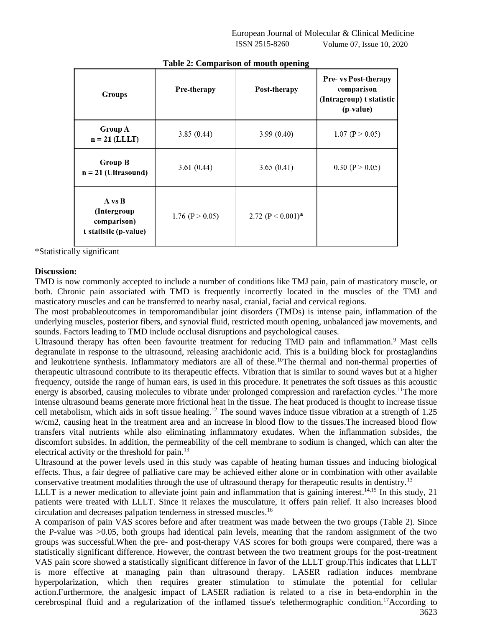| <b>Groups</b>                                                  | Pre-therapy         | Post-therapy          | Pre- vs Post-therapy<br>comparison<br>(Intragroup) t statistic<br>(p-value) |
|----------------------------------------------------------------|---------------------|-----------------------|-----------------------------------------------------------------------------|
| <b>Group A</b><br>$n = 21$ (LLLT)                              | 3.85(0.44)          | 3.99(0.40)            | 1.07 ( $P > 0.05$ )                                                         |
| <b>Group B</b><br>$n = 21$ (Ultrasound)                        | 3.61(0.44)          | 3.65(0.41)            | 0.30 ( $P > 0.05$ )                                                         |
| A vs B<br>(Intergroup)<br>comparison)<br>t statistic (p-value) | 1.76 ( $P > 0.05$ ) | 2.72 ( $P < 0.001$ )* |                                                                             |

**Table 2: Comparison of mouth opening**

\*Statistically significant

### **Discussion:**

TMD is now commonly accepted to include a number of conditions like TMJ pain, pain of masticatory muscle, or both. Chronic pain associated with TMD is frequently incorrectly located in the muscles of the TMJ and masticatory muscles and can be transferred to nearby nasal, cranial, facial and cervical regions.

The most probableoutcomes in temporomandibular joint disorders (TMDs) is intense pain, inflammation of the underlying muscles, posterior fibers, and synovial fluid, restricted mouth opening, unbalanced jaw movements, and sounds. Factors leading to TMD include occlusal disruptions and psychological causes.

Ultrasound therapy has often been favourite treatment for reducing TMD pain and inflammation.<sup>9</sup> Mast cells degranulate in response to the ultrasound, releasing arachidonic acid. This is a building block for prostaglandins and leukotriene synthesis. Inflammatory mediators are all of these.<sup>10</sup>The thermal and non-thermal properties of therapeutic ultrasound contribute to its therapeutic effects. Vibration that is similar to sound waves but at a higher frequency, outside the range of human ears, is used in this procedure. It penetrates the soft tissues as this acoustic energy is absorbed, causing molecules to vibrate under prolonged compression and rarefaction cycles.<sup>11</sup>The more intense ultrasound beams generate more frictional heat in the tissue. The heat produced is thought to increase tissue cell metabolism, which aids in soft tissue healing.<sup>12</sup> The sound waves induce tissue vibration at a strength of 1.25 w/cm2, causing heat in the treatment area and an increase in blood flow to the tissues.The increased blood flow transfers vital nutrients while also eliminating inflammatory exudates. When the inflammation subsides, the discomfort subsides. In addition, the permeability of the cell membrane to sodium is changed, which can alter the electrical activity or the threshold for pain.<sup>13</sup>

Ultrasound at the power levels used in this study was capable of heating human tissues and inducing biological effects. Thus, a fair degree of palliative care may be achieved either alone or in combination with other available conservative treatment modalities through the use of ultrasound therapy for therapeutic results in dentistry.<sup>13</sup>

LLLT is a newer medication to alleviate joint pain and inflammation that is gaining interest.<sup>14,15</sup> In this study, 21 patients were treated with LLLT. Since it relaxes the musculature, it offers pain relief. It also increases blood circulation and decreases palpation tenderness in stressed muscles.<sup>16</sup>

A comparison of pain VAS scores before and after treatment was made between the two groups (Table 2). Since the P-value was >0.05, both groups had identical pain levels, meaning that the random assignment of the two groups was successful.When the pre- and post-therapy VAS scores for both groups were compared, there was a statistically significant difference. However, the contrast between the two treatment groups for the post-treatment VAS pain score showed a statistically significant difference in favor of the LLLT group.This indicates that LLLT is more effective at managing pain than ultrasound therapy. LASER radiation induces membrane hyperpolarization, which then requires greater stimulation to stimulate the potential for cellular action.Furthermore, the analgesic impact of LASER radiation is related to a rise in beta-endorphin in the cerebrospinal fluid and a regularization of the inflamed tissue's telethermographic condition.17According to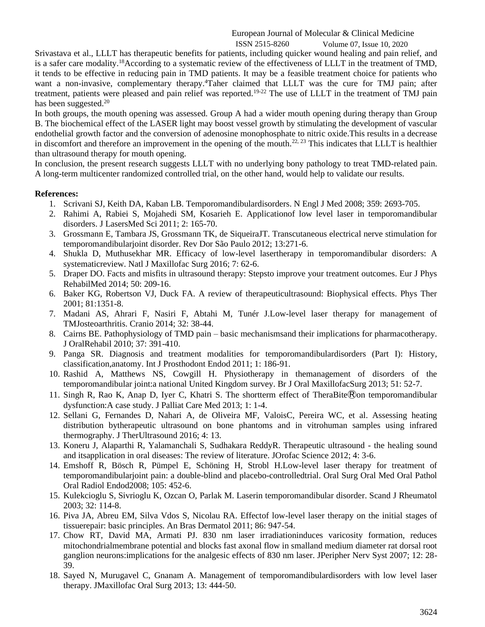Srivastava et al., LLLT has therapeutic benefits for patients, including quicker wound healing and pain relief, and is a safer care modality.<sup>18</sup>According to a systematic review of the effectiveness of LLLT in the treatment of TMD, it tends to be effective in reducing pain in TMD patients. It may be a feasible treatment choice for patients who want a non-invasive, complementary therapy.<sup>4</sup>Taher claimed that LLLT was the cure for TMJ pain; after treatment, patients were pleased and pain relief was reported.<sup>19-22</sup> The use of LLLT in the treatment of TMJ pain has been suggested.<sup>20</sup>

In both groups, the mouth opening was assessed. Group A had a wider mouth opening during therapy than Group B. The biochemical effect of the LASER light may boost vessel growth by stimulating the development of vascular endothelial growth factor and the conversion of adenosine monophosphate to nitric oxide.This results in a decrease in discomfort and therefore an improvement in the opening of the mouth.<sup>22, 23</sup> This indicates that LLLT is healthier than ultrasound therapy for mouth opening.

In conclusion, the present research suggests LLLT with no underlying bony pathology to treat TMD-related pain. A long-term multicenter randomized controlled trial, on the other hand, would help to validate our results.

### **References:**

- 1. Scrivani SJ, Keith DA, Kaban LB. Temporomandibulardisorders. N Engl J Med 2008; 359: 2693-705.
- 2. Rahimi A, Rabiei S, Mojahedi SM, Kosarieh E. Applicationof low level laser in temporomandibular disorders. J LasersMed Sci 2011; 2: 165-70.
- 3. Grossmann E, Tambara JS, Grossmann TK, de SiqueiraJT. Transcutaneous electrical nerve stimulation for temporomandibularjoint disorder. Rev Dor São Paulo 2012; 13:271-6.
- 4. Shukla D, Muthusekhar MR. Efficacy of low-level lasertherapy in temporomandibular disorders: A systematicreview. Natl J Maxillofac Surg 2016; 7: 62-6.
- 5. Draper DO. Facts and misfits in ultrasound therapy: Stepsto improve your treatment outcomes. Eur J Phys RehabilMed 2014; 50: 209-16.
- 6. Baker KG, Robertson VJ, Duck FA. A review of therapeuticultrasound: Biophysical effects. Phys Ther 2001; 81:1351-8.
- 7. Madani AS, Ahrari F, Nasiri F, Abtahi M, Tunér J.Low-level laser therapy for management of TMJosteoarthritis. Cranio 2014; 32: 38-44.
- 8. Cairns BE. Pathophysiology of TMD pain basic mechanismsand their implications for pharmacotherapy. J OralRehabil 2010; 37: 391-410.
- 9. Panga SR. Diagnosis and treatment modalities for temporomandibulardisorders (Part I): History, classification,anatomy. Int J Prosthodont Endod 2011; 1: 186-91.
- 10. Rashid A, Matthews NS, Cowgill H. Physiotherapy in themanagement of disorders of the temporomandibular joint:a national United Kingdom survey. Br J Oral MaxillofacSurg 2013; 51: 52-7.
- 11. Singh R, Rao K, Anap D, Iyer C, Khatri S. The shortterm effect of TheraBite®on temporomandibular dysfunction:A case study. J Palliat Care Med 2013; 1: 1-4.
- 12. Sellani G, Fernandes D, Nahari A, de Oliveira MF, ValoisC, Pereira WC, et al. Assessing heating distribution bytherapeutic ultrasound on bone phantoms and in vitrohuman samples using infrared thermography. J TherUltrasound 2016; 4: 13.
- 13. Koneru J, Alaparthi R, Yalamanchali S, Sudhakara ReddyR. Therapeutic ultrasound the healing sound and itsapplication in oral diseases: The review of literature. JOrofac Science 2012; 4: 3-6.
- 14. Emshoff R, Bösch R, Pümpel E, Schöning H, Strobl H.Low-level laser therapy for treatment of temporomandibularjoint pain: a double-blind and placebo-controlledtrial. Oral Surg Oral Med Oral Pathol Oral Radiol Endod2008; 105: 452-6.
- 15. Kulekcioglu S, Sivrioglu K, Ozcan O, Parlak M. Laserin temporomandibular disorder. Scand J Rheumatol 2003; 32: 114-8.
- 16. Piva JA, Abreu EM, Silva Vdos S, Nicolau RA. Effectof low-level laser therapy on the initial stages of tissuerepair: basic principles. An Bras Dermatol 2011; 86: 947-54.
- 17. Chow RT, David MA, Armati PJ. 830 nm laser irradiationinduces varicosity formation, reduces mitochondrialmembrane potential and blocks fast axonal flow in smalland medium diameter rat dorsal root ganglion neurons:implications for the analgesic effects of 830 nm laser. JPeripher Nerv Syst 2007; 12: 28- 39.
- 18. Sayed N, Murugavel C, Gnanam A. Management of temporomandibulardisorders with low level laser therapy. JMaxillofac Oral Surg 2013; 13: 444-50.